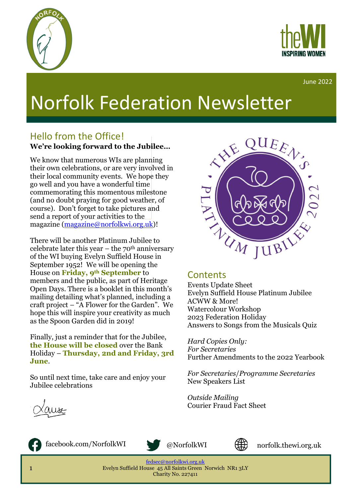



June 2022

# Norfolk Federation Newsletter

### Hello from the Office!

#### **We're looking forward to the Jubilee…**

We know that numerous WIs are planning their own celebrations, or are very involved in their local community events. We hope they go well and you have a wonderful time commemorating this momentous milestone (and no doubt praying for good weather, of course). Don't forget to take pictures and send a report of your activities to the magazine [\(magazine@norfolkwi.org.uk\)](mailto:magazine@norfolkwi.org.uk)!

There will be another Platinum Jubilee to celebrate later this year – the  $70<sup>th</sup>$  anniversary of the WI buying Evelyn Suffield House in September 1952! We will be opening the House on **Friday, 9th September** to members and the public, as part of Heritage Open Days. There is a booklet in this month's mailing detailing what's planned, including a craft project – "A Flower for the Garden". We hope this will inspire your creativity as much as the Spoon Garden did in 2019!

Finally, just a reminder that for the Jubilee, **the House will be closed** over the Bank Holiday – **Thursday, 2nd and Friday, 3rd June**.

So until next time, take care and enjoy your Jubilee celebrations



#### **Contents**

Events Update Sheet Evelyn Suffield House Platinum Jubilee ACWW & More! Watercolour Workshop 2023 Federation Holiday Answers to Songs from the Musicals Quiz

*Hard Copies Only: For Secretaries*  Further Amendments to the 2022 Yearbook

*For Secretaries*/*Programme Secretaries*  New Speakers List

*Outside Mailing* Courier Fraud Fact Sheet





facebook.com/NorfolkWI @NorfolkWI





norfolk.thewi.org.uk

[fedsec@norfolkwi.org.uk](mailto:fedsec@norfolkwi.org.uk)  Evelyn Suffield House 45 All Saints Green Norwich NR1 3LY Charity No. 227411